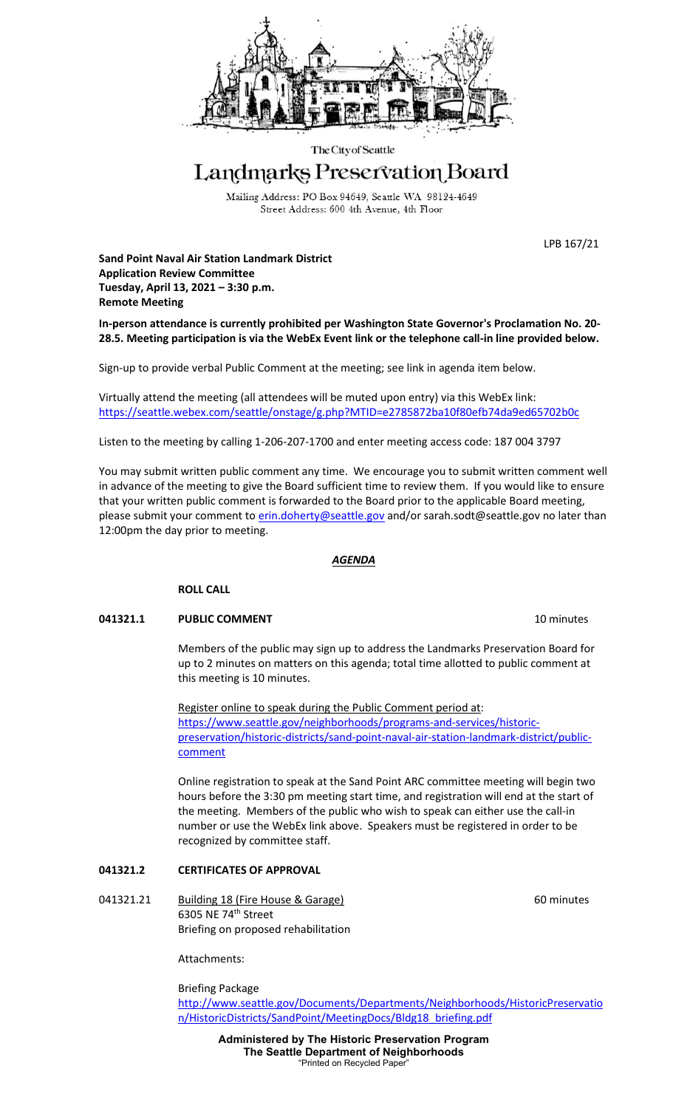

The City of Seattle

# Landmarks Preservation Board

Mailing Address: PO Box 94649, Seattle WA 98124-4649 Street Address: 600 4th Avenue, 4th Floor

LPB 167/21

**Sand Point Naval Air Station Landmark District Application Review Committee Tuesday, April 13, 2021 – 3:30 p.m. Remote Meeting**

**In-person attendance is currently prohibited per Washington State Governor's Proclamation No. 20- 28.5. Meeting participation is via the WebEx Event link or the telephone call-in line provided below.**

Sign-up to provide verbal Public Comment at the meeting; see link in agenda item below.

Virtually attend the meeting (all attendees will be muted upon entry) via this WebEx link: <https://seattle.webex.com/seattle/onstage/g.php?MTID=e2785872ba10f80efb74da9ed65702b0c>

Listen to the meeting by calling 1-206-207-1700 and enter meeting access code: 187 004 3797

You may submit written public comment any time. We encourage you to submit written comment well in advance of the meeting to give the Board sufficient time to review them. If you would like to ensure that your written public comment is forwarded to the Board prior to the applicable Board meeting, please submit your comment to [erin.doherty@seattle.gov](mailto:erin.doherty@seattle.gov) and/o[r sarah.sodt@seattle.gov](mailto:sarah.sodt@seattle.gov) no later than 12:00pm the day prior to meeting.

## *AGENDA*

#### **ROLL CALL**

#### **041321.1 PUBLIC COMMENT 10 minutes 10 minutes**

Members of the public may sign up to address the Landmarks Preservation Board for up to 2 minutes on matters on this agenda; total time allotted to public comment at this meeting is 10 minutes.

Register online to speak during the Public Comment period at: [https://www.seattle.gov/neighborhoods/programs-and-services/historic](https://www.seattle.gov/neighborhoods/programs-and-services/historic-preservation/historic-districts/sand-point-naval-air-station-landmark-district/public-comment)[preservation/historic-districts/sand-point-naval-air-station-landmark-district/public](https://www.seattle.gov/neighborhoods/programs-and-services/historic-preservation/historic-districts/sand-point-naval-air-station-landmark-district/public-comment)[comment](https://www.seattle.gov/neighborhoods/programs-and-services/historic-preservation/historic-districts/sand-point-naval-air-station-landmark-district/public-comment)

Online registration to speak at the Sand Point ARC committee meeting will begin two hours before the 3:30 pm meeting start time, and registration will end at the start of the meeting. Members of the public who wish to speak can either use the call-in number or use the WebEx link above. Speakers must be registered in order to be recognized by committee staff.

## **041321.2 CERTIFICATES OF APPROVAL**

041321.21 Building 18 (Fire House & Garage) 60 minutes 6305 NE 74th Street Briefing on proposed rehabilitation

Attachments:

Briefing Package

[http://www.seattle.gov/Documents/Departments/Neighborhoods/HistoricPreservatio](http://www.seattle.gov/Documents/Departments/Neighborhoods/HistoricPreservation/HistoricDistricts/SandPoint/MeetingDocs/Bldg18_briefing.pdf) [n/HistoricDistricts/SandPoint/MeetingDocs/Bldg18\\_briefing.pdf](http://www.seattle.gov/Documents/Departments/Neighborhoods/HistoricPreservation/HistoricDistricts/SandPoint/MeetingDocs/Bldg18_briefing.pdf)

**Administered by The Historic Preservation Program The Seattle Department of Neighborhoods** "Printed on Recycled Paper"